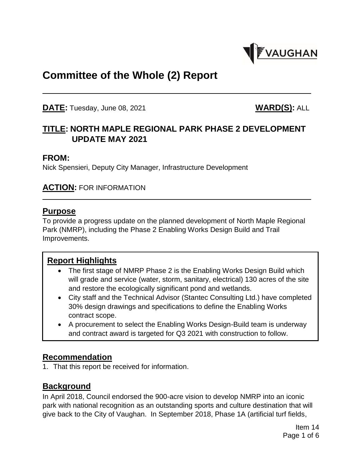

# **Committee of the Whole (2) Report**

**DATE:** Tuesday, June 08, 2021 **WARD(S):** ALL

# **TITLE: NORTH MAPLE REGIONAL PARK PHASE 2 DEVELOPMENT UPDATE MAY 2021**

#### **FROM:**

Nick Spensieri, Deputy City Manager, Infrastructure Development

#### **ACTION:** FOR INFORMATION

#### **Purpose**

To provide a progress update on the planned development of North Maple Regional Park (NMRP), including the Phase 2 Enabling Works Design Build and Trail Improvements.

#### **Report Highlights**

- The first stage of NMRP Phase 2 is the Enabling Works Design Build which will grade and service (water, storm, sanitary, electrical) 130 acres of the site and restore the ecologically significant pond and wetlands.
- City staff and the Technical Advisor (Stantec Consulting Ltd.) have completed 30% design drawings and specifications to define the Enabling Works contract scope.
- A procurement to select the Enabling Works Design-Build team is underway and contract award is targeted for Q3 2021 with construction to follow.

## **Recommendation**

1. That this report be received for information.

## **Background**

In April 2018, Council endorsed the 900-acre vision to develop NMRP into an iconic park with national recognition as an outstanding sports and culture destination that will give back to the City of Vaughan. In September 2018, Phase 1A (artificial turf fields,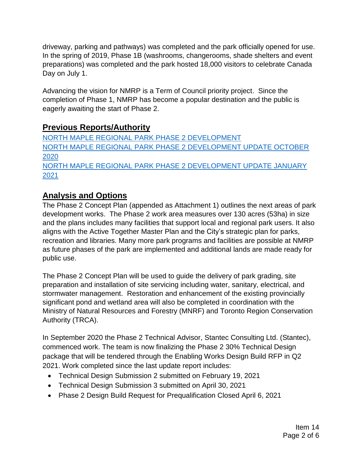driveway, parking and pathways) was completed and the park officially opened for use. In the spring of 2019, Phase 1B (washrooms, changerooms, shade shelters and event preparations) was completed and the park hosted 18,000 visitors to celebrate Canada Day on July 1.

Advancing the vision for NMRP is a Term of Council priority project. Since the completion of Phase 1, NMRP has become a popular destination and the public is eagerly awaiting the start of Phase 2.

## **Previous Reports/Authority**

[NORTH MAPLE REGIONAL PARK PHASE 2 DEVELOPMENT](https://pub-vaughan.escribemeetings.com/filestream.ashx?DocumentId=31951) [NORTH MAPLE REGIONAL PARK PHASE 2 DEVELOPMENT UPDATE OCTOBER](https://pub-vaughan.escribemeetings.com/filestream.ashx?DocumentId=52205)  [2020](https://pub-vaughan.escribemeetings.com/filestream.ashx?DocumentId=52205) [NORTH MAPLE REGIONAL PARK PHASE 2 DEVELOPMENT UPDATE JANUARY](https://pub-vaughan.escribemeetings.com/filestream.ashx?DocumentId=60130)  [2021](https://pub-vaughan.escribemeetings.com/filestream.ashx?DocumentId=60130)

# **Analysis and Options**

The Phase 2 Concept Plan (appended as Attachment 1) outlines the next areas of park development works. The Phase 2 work area measures over 130 acres (53ha) in size and the plans includes many facilities that support local and regional park users. It also aligns with the Active Together Master Plan and the City's strategic plan for parks, recreation and libraries. Many more park programs and facilities are possible at NMRP as future phases of the park are implemented and additional lands are made ready for public use.

The Phase 2 Concept Plan will be used to guide the delivery of park grading, site preparation and installation of site servicing including water, sanitary, electrical, and stormwater management. Restoration and enhancement of the existing provincially significant pond and wetland area will also be completed in coordination with the Ministry of Natural Resources and Forestry (MNRF) and Toronto Region Conservation Authority (TRCA).

In September 2020 the Phase 2 Technical Advisor, Stantec Consulting Ltd. (Stantec), commenced work. The team is now finalizing the Phase 2 30% Technical Design package that will be tendered through the Enabling Works Design Build RFP in Q2 2021. Work completed since the last update report includes:

- Technical Design Submission 2 submitted on February 19, 2021
- Technical Design Submission 3 submitted on April 30, 2021
- Phase 2 Design Build Request for Prequalification Closed April 6, 2021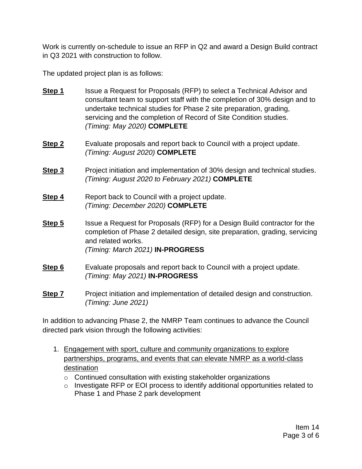Work is currently on-schedule to issue an RFP in Q2 and award a Design Build contract in Q3 2021 with construction to follow.

The updated project plan is as follows:

- **Step 1** Issue a Request for Proposals (RFP) to select a Technical Advisor and consultant team to support staff with the completion of 30% design and to undertake technical studies for Phase 2 site preparation, grading, servicing and the completion of Record of Site Condition studies. *(Timing: May 2020)* **COMPLETE**
- **Step 2** Evaluate proposals and report back to Council with a project update. *(Timing: August 2020)* **COMPLETE**
- **Step 3** Project initiation and implementation of 30% design and technical studies. *(Timing: August 2020 to February 2021)* **COMPLETE**
- **Step 4** Report back to Council with a project update. *(Timing: December 2020)* **COMPLETE**
- **Step 5** Issue a Request for Proposals (RFP) for a Design Build contractor for the completion of Phase 2 detailed design, site preparation, grading, servicing and related works. *(Timing: March 2021)* **IN-PROGRESS**
- **Step 6** Evaluate proposals and report back to Council with a project update. *(Timing: May 2021)* **IN-PROGRESS**
- **Step 7** Project initiation and implementation of detailed design and construction. *(Timing: June 2021)*

In addition to advancing Phase 2, the NMRP Team continues to advance the Council directed park vision through the following activities:

- 1. Engagement with sport, culture and community organizations to explore partnerships, programs, and events that can elevate NMRP as a world-class destination
	- $\circ$  Continued consultation with existing stakeholder organizations
	- o Investigate RFP or EOI process to identify additional opportunities related to Phase 1 and Phase 2 park development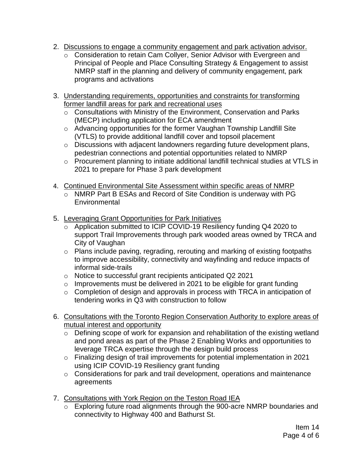- 2. Discussions to engage a community engagement and park activation advisor.
	- o Consideration to retain Cam Collyer, Senior Advisor with Evergreen and Principal of People and Place Consulting Strategy & Engagement to assist NMRP staff in the planning and delivery of community engagement, park programs and activations
- 3. Understanding requirements, opportunities and constraints for transforming former landfill areas for park and recreational uses
	- o Consultations with Ministry of the Environment, Conservation and Parks (MECP) including application for ECA amendment
	- o Advancing opportunities for the former Vaughan Township Landfill Site (VTLS) to provide additional landfill cover and topsoil placement
	- o Discussions with adjacent landowners regarding future development plans, pedestrian connections and potential opportunities related to NMRP
	- o Procurement planning to initiate additional landfill technical studies at VTLS in 2021 to prepare for Phase 3 park development
- 4. Continued Environmental Site Assessment within specific areas of NMRP
	- o NMRP Part B ESAs and Record of Site Condition is underway with PG **Environmental**
- 5. Leveraging Grant Opportunities for Park Initiatives
	- o Application submitted to ICIP COVID-19 Resiliency funding Q4 2020 to support Trail Improvements through park wooded areas owned by TRCA and City of Vaughan
	- o Plans include paving, regrading, rerouting and marking of existing footpaths to improve accessibility, connectivity and wayfinding and reduce impacts of informal side-trails
	- o Notice to successful grant recipients anticipated Q2 2021
	- $\circ$  Improvements must be delivered in 2021 to be eligible for grant funding
	- o Completion of design and approvals in process with TRCA in anticipation of tendering works in Q3 with construction to follow
- 6. Consultations with the Toronto Region Conservation Authority to explore areas of mutual interest and opportunity
	- o Defining scope of work for expansion and rehabilitation of the existing wetland and pond areas as part of the Phase 2 Enabling Works and opportunities to leverage TRCA expertise through the design build process
	- o Finalizing design of trail improvements for potential implementation in 2021 using ICIP COVID-19 Resiliency grant funding
	- o Considerations for park and trail development, operations and maintenance agreements
- 7. Consultations with York Region on the Teston Road IEA
	- $\overline{\circ}$  Exploring future road alignments through the 900-acre NMRP boundaries and connectivity to Highway 400 and Bathurst St.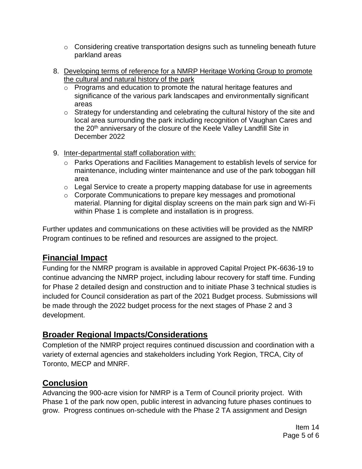- $\circ$  Considering creative transportation designs such as tunneling beneath future parkland areas
- 8. Developing terms of reference for a NMRP Heritage Working Group to promote the cultural and natural history of the park
	- o Programs and education to promote the natural heritage features and significance of the various park landscapes and environmentally significant areas
	- o Strategy for understanding and celebrating the cultural history of the site and local area surrounding the park including recognition of Vaughan Cares and the 20<sup>th</sup> anniversary of the closure of the Keele Valley Landfill Site in December 2022
- 9. Inter-departmental staff collaboration with:
	- $\circ$  Parks Operations and Facilities Management to establish levels of service for maintenance, including winter maintenance and use of the park toboggan hill area
	- o Legal Service to create a property mapping database for use in agreements
	- o Corporate Communications to prepare key messages and promotional material. Planning for digital display screens on the main park sign and Wi-Fi within Phase 1 is complete and installation is in progress.

Further updates and communications on these activities will be provided as the NMRP Program continues to be refined and resources are assigned to the project.

# **Financial Impact**

Funding for the NMRP program is available in approved Capital Project PK-6636-19 to continue advancing the NMRP project, including labour recovery for staff time. Funding for Phase 2 detailed design and construction and to initiate Phase 3 technical studies is included for Council consideration as part of the 2021 Budget process. Submissions will be made through the 2022 budget process for the next stages of Phase 2 and 3 development.

# **Broader Regional Impacts/Considerations**

Completion of the NMRP project requires continued discussion and coordination with a variety of external agencies and stakeholders including York Region, TRCA, City of Toronto, MECP and MNRF.

## **Conclusion**

Advancing the 900-acre vision for NMRP is a Term of Council priority project. With Phase 1 of the park now open, public interest in advancing future phases continues to grow. Progress continues on-schedule with the Phase 2 TA assignment and Design